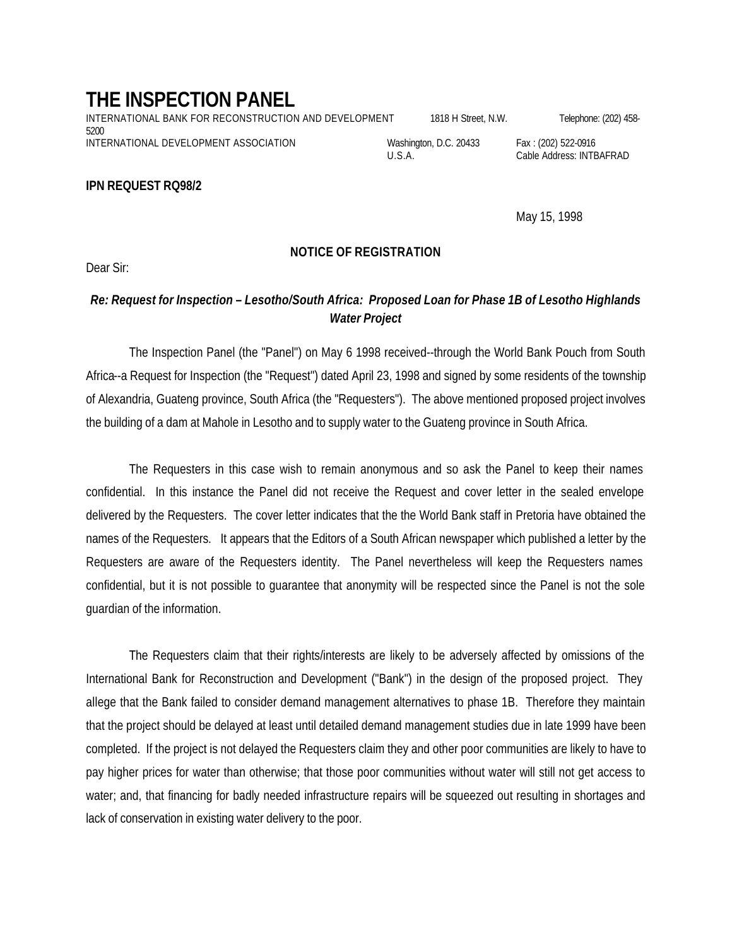## **THE INSPECTION PANEL**

INTERNATIONAL BANK FOR RECONSTRUCTION AND DEVELOPMENT 1818 H Street, N.W. Telephone: (202) 458-5200 INTERNATIONAL DEVELOPMENT ASSOCIATION Washington, D.C. 20433 Fax: (202) 522-0916

**IPN REQUEST RQ98/2**

## **NOTICE OF REGISTRATION**

Dear Sir:

## *Re: Request for Inspection – Lesotho/South Africa: Proposed Loan for Phase 1B of Lesotho Highlands Water Project*

The Inspection Panel (the "Panel") on May 6 1998 received--through the World Bank Pouch from South Africa--a Request for Inspection (the "Request") dated April 23, 1998 and signed by some residents of the township of Alexandria, Guateng province, South Africa (the "Requesters"). The above mentioned proposed project involves the building of a dam at Mahole in Lesotho and to supply water to the Guateng province in South Africa.

The Requesters in this case wish to remain anonymous and so ask the Panel to keep their names confidential. In this instance the Panel did not receive the Request and cover letter in the sealed envelope delivered by the Requesters. The cover letter indicates that the the World Bank staff in Pretoria have obtained the names of the Requesters. It appears that the Editors of a South African newspaper which published a letter by the Requesters are aware of the Requesters identity. The Panel nevertheless will keep the Requesters names confidential, but it is not possible to guarantee that anonymity will be respected since the Panel is not the sole guardian of the information.

The Requesters claim that their rights/interests are likely to be adversely affected by omissions of the International Bank for Reconstruction and Development ("Bank") in the design of the proposed project. They allege that the Bank failed to consider demand management alternatives to phase 1B. Therefore they maintain that the project should be delayed at least until detailed demand management studies due in late 1999 have been completed. If the project is not delayed the Requesters claim they and other poor communities are likely to have to pay higher prices for water than otherwise; that those poor communities without water will still not get access to water; and, that financing for badly needed infrastructure repairs will be squeezed out resulting in shortages and lack of conservation in existing water delivery to the poor.

U.S.A. Cable Address: INTBAFRAD

May 15, 1998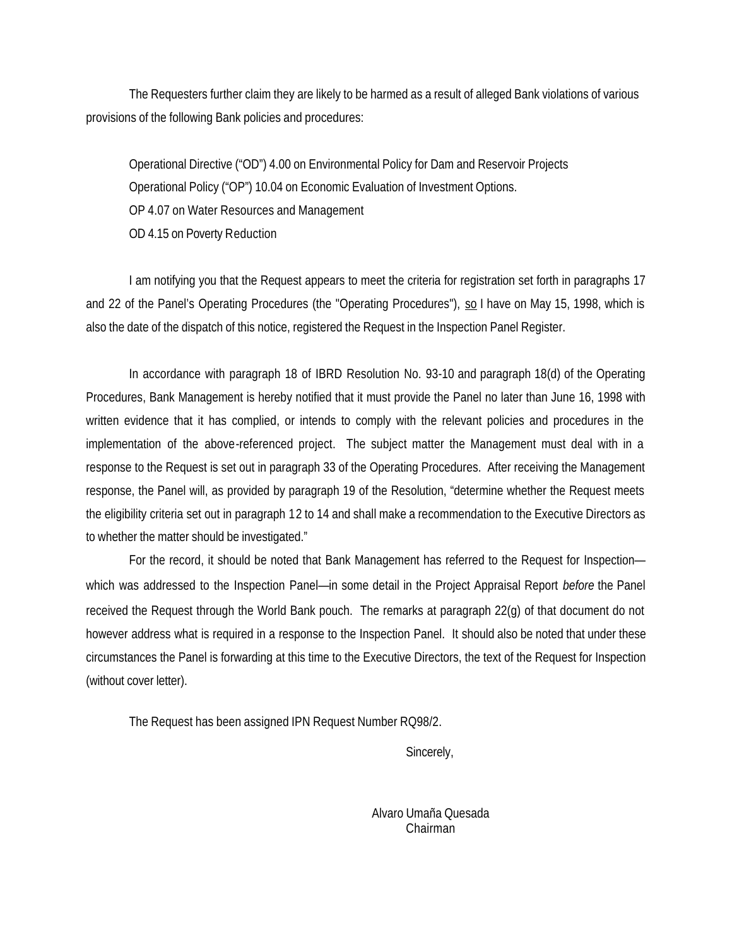The Requesters further claim they are likely to be harmed as a result of alleged Bank violations of various provisions of the following Bank policies and procedures:

Operational Directive ("OD") 4.00 on Environmental Policy for Dam and Reservoir Projects Operational Policy ("OP") 10.04 on Economic Evaluation of Investment Options. OP 4.07 on Water Resources and Management OD 4.15 on Poverty Reduction

I am notifying you that the Request appears to meet the criteria for registration set forth in paragraphs 17 and 22 of the Panel's Operating Procedures (the "Operating Procedures"), so I have on May 15, 1998, which is also the date of the dispatch of this notice, registered the Request in the Inspection Panel Register.

In accordance with paragraph 18 of IBRD Resolution No. 93-10 and paragraph 18(d) of the Operating Procedures, Bank Management is hereby notified that it must provide the Panel no later than June 16, 1998 with written evidence that it has complied, or intends to comply with the relevant policies and procedures in the implementation of the above-referenced project. The subject matter the Management must deal with in a response to the Request is set out in paragraph 33 of the Operating Procedures. After receiving the Management response, the Panel will, as provided by paragraph 19 of the Resolution, "determine whether the Request meets the eligibility criteria set out in paragraph 12 to 14 and shall make a recommendation to the Executive Directors as to whether the matter should be investigated."

For the record, it should be noted that Bank Management has referred to the Request for Inspection which was addressed to the Inspection Panel—in some detail in the Project Appraisal Report *before* the Panel received the Request through the World Bank pouch. The remarks at paragraph 22(g) of that document do not however address what is required in a response to the Inspection Panel. It should also be noted that under these circumstances the Panel is forwarding at this time to the Executive Directors, the text of the Request for Inspection (without cover letter).

The Request has been assigned IPN Request Number RQ98/2.

Sincerely,

Alvaro Umaña Quesada Chairman